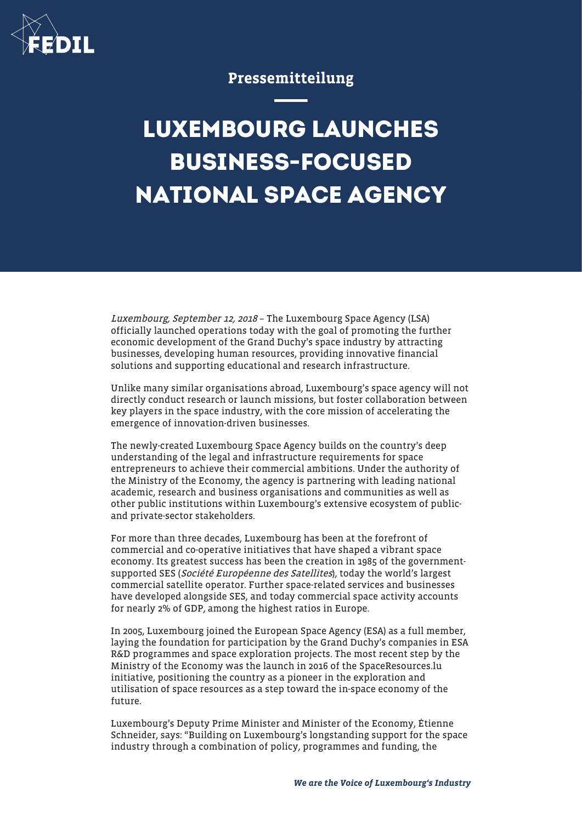

## Pressemitteilung

## **LUXEMBOURG LAUNCHES BUSINESS-FOCUSED NATIONAL SPACE AGENCY**

Luxembourg, September 12, 2018 – The Luxembourg Space Agency (LSA) officially launched operations today with the goal of promoting the further economic development of the Grand Duchy's space industry by attracting businesses, developing human resources, providing innovative financial solutions and supporting educational and research infrastructure.

Unlike many similar organisations abroad, Luxembourg's space agency will not directly conduct research or launch missions, but foster collaboration between key players in the space industry, with the core mission of accelerating the emergence of innovation-driven businesses.

The newly-created Luxembourg Space Agency builds on the country's deep understanding of the legal and infrastructure requirements for space entrepreneurs to achieve their commercial ambitions. Under the authority of the Ministry of the Economy, the agency is partnering with leading national academic, research and business organisations and communities as well as other public institutions within Luxembourg's extensive ecosystem of publicand private-sector stakeholders.

For more than three decades, Luxembourg has been at the forefront of commercial and co-operative initiatives that have shaped a vibrant space economy. Its greatest success has been the creation in 1985 of the governmentsupported SES (Société Européenne des Satellites), today the world's largest commercial satellite operator. Further space-related services and businesses have developed alongside SES, and today commercial space activity accounts for nearly 2% of GDP, among the highest ratios in Europe.

In 2005, Luxembourg joined the European Space Agency (ESA) as a full member, laying the foundation for participation by the Grand Duchy's companies in ESA R&D programmes and space exploration projects. The most recent step by the Ministry of the Economy was the launch in 2016 of the SpaceResources.lu initiative, positioning the country as a pioneer in the exploration and utilisation of space resources as a step toward the in-space economy of the future.

Luxembourg's Deputy Prime Minister and Minister of the Economy, Étienne Schneider, says: "Building on Luxembourg's longstanding support for the space industry through a combination of policy, programmes and funding, the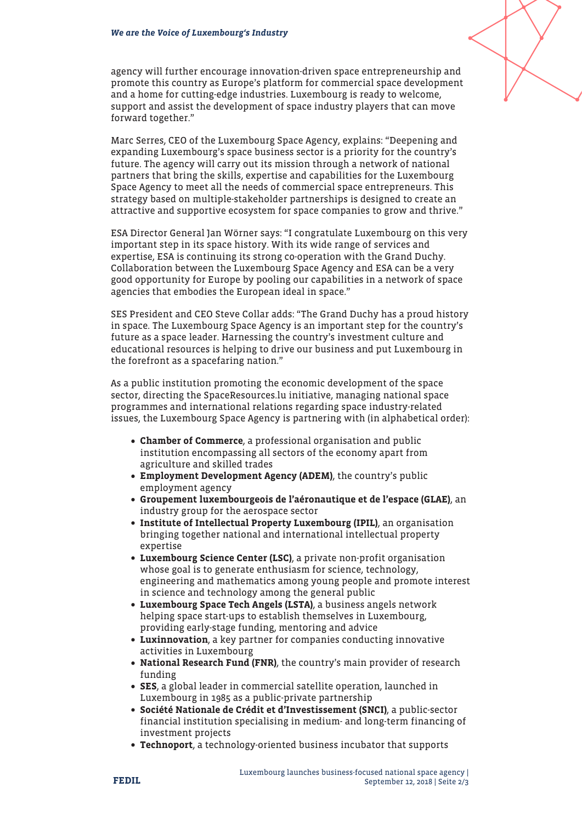agency will further encourage innovation-driven space entrepreneurship and promote this country as Europe's platform for commercial space development and a home for cutting-edge industries. Luxembourg is ready to welcome, support and assist the development of space industry players that can move forward together."

Marc Serres, CEO of the Luxembourg Space Agency, explains: "Deepening and expanding Luxembourg's space business sector is a priority for the country's future. The agency will carry out its mission through a network of national partners that bring the skills, expertise and capabilities for the Luxembourg Space Agency to meet all the needs of commercial space entrepreneurs. This strategy based on multiple-stakeholder partnerships is designed to create an attractive and supportive ecosystem for space companies to grow and thrive."

ESA Director General Jan Wörner says: "I congratulate Luxembourg on this very important step in its space history. With its wide range of services and expertise, ESA is continuing its strong co-operation with the Grand Duchy. Collaboration between the Luxembourg Space Agency and ESA can be a very good opportunity for Europe by pooling our capabilities in a network of space agencies that embodies the European ideal in space."

SES President and CEO Steve Collar adds: "The Grand Duchy has a proud history in space. The Luxembourg Space Agency is an important step for the country's future as a space leader. Harnessing the country's investment culture and educational resources is helping to drive our business and put Luxembourg in the forefront as a spacefaring nation."

As a public institution promoting the economic development of the space sector, directing the SpaceResources.lu initiative, managing national space programmes and international relations regarding space industry-related issues, the Luxembourg Space Agency is partnering with (in alphabetical order):

- Chamber of Commerce, a professional organisation and public institution encompassing all sectors of the economy apart from agriculture and skilled trades
- Employment Development Agency (ADEM), the country's public employment agency
- Groupement luxembourgeois de l'aéronautique et de l'espace (GLAE), an industry group for the aerospace sector
- Institute of Intellectual Property Luxembourg (IPIL), an organisation bringing together national and international intellectual property expertise
- Luxembourg Science Center (LSC), a private non-profit organisation whose goal is to generate enthusiasm for science, technology, engineering and mathematics among young people and promote interest in science and technology among the general public
- Luxembourg Space Tech Angels (LSTA), a business angels network helping space start-ups to establish themselves in Luxembourg, providing early-stage funding, mentoring and advice
- Luxinnovation, a key partner for companies conducting innovative activities in Luxembourg
- National Research Fund (FNR), the country's main provider of research funding
- SES, a global leader in commercial satellite operation, launched in Luxembourg in 1985 as a public-private partnership
- Société Nationale de Crédit et d'Investissement (SNCI), a public-sector financial institution specialising in medium- and long-term financing of investment projects
- Technoport, a technology-oriented business incubator that supports